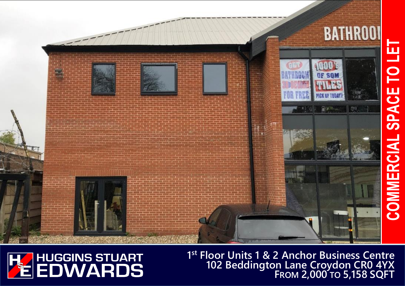# COMMERCIAL SPACE TO LE'





 **1 st Floor Units 1 & 2 Anchor Business Centre 102 Beddington Lane Croydon CR0 4YX FROM 2,000 TO 5,158 SQFT**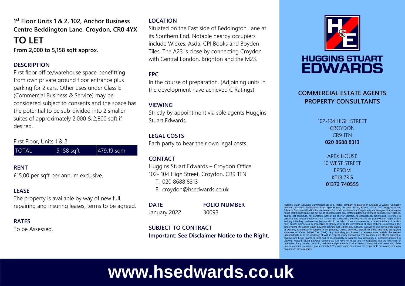### **1 st Floor Units 1 & 2, 102, Anchor Business Centre Beddington Lane, Croydon, CR0 4YX TO LET**

**From 2,000 to 5,158 sqft approx.**

### **DESCRIPTION**

First floor office/warehouse space benefitting from own private ground floor entrance plus parking for 2 cars. Other uses under Class E (Commercial Business & Service) may be considered subject to consents and the space has the potential to be sub-divided into 2 smaller suites of approximately 2,000 & 2,800 sqft if desired.

First Floor, Units 1 & 2

| <b>TOTAL</b> | $\vert$ 5,158 sqft | $ 479.19$ sqm |
|--------------|--------------------|---------------|
|--------------|--------------------|---------------|

### **RENT**

£15.00 per sqft per annum exclusive.

### **LEASE**

The property is available by way of new full repairing and insuring leases, terms to be agreed.

### **RATES**

To be Assessed.

### **LOCATION**

Situated on the East side of Beddington Lane at its Southern End. Notable nearby occupiers include Wickes, Asda, CPI Books and Boyden Tiles. The A23 is close by connecting Croydon with Central London, Brighton and the M23.

### **EPC**

In the course of preparation. (Adjoining units in the development have achieved C Ratings)

### **VIEWING**

Strictly by appointment via sole agents Huggins Stuart Edwards.

### **LEGAL COSTS**

Each party to bear their own legal costs.

### **CONTACT**

Huggins Stuart Edwards – Croydon Office 102- 104 High Street, Croydon, CR9 1TN T: 020 8688 8313 E: croydon@hsedwards.co.uk

### **DATE FOLIO NUMBER**

January 2022 30098

### **SUBJECT TO CONTRACT Important: See Disclaimer Notice to the Right**.



## **HUGGINS STUART EDWARDS**

### **COMMERCIAL ESTATE AGENTS PROPERTY CONSULTANTS**

102-104 HIGH STREET **CROYDON** CR9 1TN **020 8688 8313**

> APEX HOUSE 10 WEST STREET EPSOM KT18 7RG **01372 740555**

Huggins Stuart Edwards Commercial Ltd is a limited company registered in England & Wales. Compa number 12280950. Registered office: Apex House, 10 West Street, Epsom, KT18 7RG. Huggins Stua Edwards Commercial Ltd for themselves and for vendors or lessors of this property whose agents they are give notice that the particulars are set out as general outline only for the guidance of intended purchasers or lessees, and do not constitute, nor constitute part of, an offer or contract. All descriptions, dimensions, reference to condition and necessary permissions for use and occupation, and other details are given without responsibility and any intending purchasers or lessees should not rely on them as statements or representations of fact but must satisfy themselves by inspection or otherwise as to the correctness of each of them. No person in the employment of Huggins Stuart Edwards Commercial Ltd has any authority to make or give any representation or warranty whatsoever in relation to this property. Unless otherwise stated, all prices and rents are quoted exclusive of Value Added Tax (VAT). Any intending purchasers or lessees must satisfy themselves independently as to the incidence of VAT in respect of any transaction. The properties are offered subject to<br>contract and being unsold or unlet and no responsibility is taken for any inaccuracy or expenses incurred in<br>vie otherwise of any issues concerning pollution and potential land, air or water contamination or tested any of the services and no warranty is given or implied. The purchasers or lessees are responsible for making their own enquiries in these regards

# **www.hsedwards.co.uk**